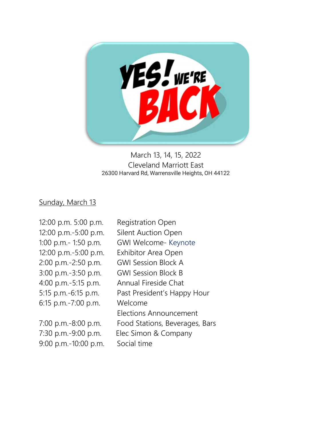

## March 13, 14, 15, 2022 Cleveland Marriott East 26300 Harvard Rd, Warrensville Heights, OH 44122

## Sunday, March 13

| 12:00 p.m. 5:00 p.m. | <b>Registration Open</b>       |
|----------------------|--------------------------------|
| 12:00 p.m.-5:00 p.m. | <b>Silent Auction Open</b>     |
| 1:00 p.m.- 1:50 p.m. | <b>GWI Welcome- Keynote</b>    |
| 12:00 p.m.-5:00 p.m. | <b>Exhibitor Area Open</b>     |
| 2:00 p.m.-2:50 p.m.  | <b>GWI Session Block A</b>     |
| 3:00 p.m.-3:50 p.m.  | <b>GWI Session Block B</b>     |
| 4:00 p.m.-5:15 p.m.  | Annual Fireside Chat           |
| 5:15 p.m.-6:15 p.m.  | Past President's Happy Hour    |
| 6:15 p.m.-7:00 p.m.  | Welcome                        |
|                      | Elections Announcement         |
| 7:00 p.m.-8:00 p.m.  | Food Stations, Beverages, Bars |
| 7:30 p.m.-9:00 p.m.  | Elec Simon & Company           |
| 9:00 p.m.-10:00 p.m. | Social time                    |